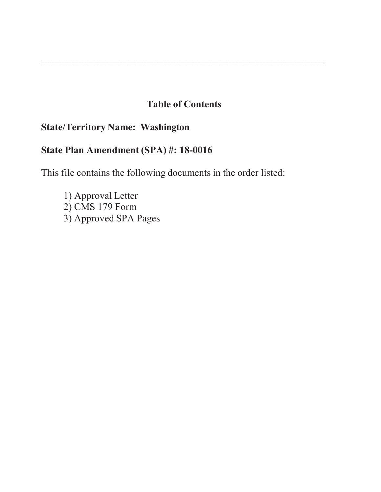# **Table of Contents**

\_\_\_\_\_\_\_\_\_\_\_\_\_\_\_\_\_\_\_\_\_\_\_\_\_\_\_\_\_\_\_\_\_\_\_\_\_\_\_\_\_\_\_\_\_\_\_\_\_\_\_\_\_\_\_\_\_\_\_\_\_\_\_\_\_\_\_\_\_\_\_\_\_\_\_\_\_\_\_\_\_\_\_

# **State/Territory Name: Washington**

# **State Plan Amendment (SPA) #: 18-0016**

This file contains the following documents in the order listed:

1) Approval Letter 2) CMS 179 Form 3) Approved SPA Pages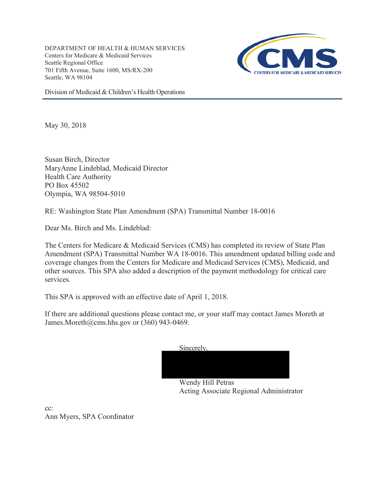DEPARTMENT OF HEALTH & HUMAN SERVICES Centers for Medicare & Medicaid Services Seattle Regional Office 701 Fifth Avenue, Suite 1600, MS/RX-200 Seattle, WA 98104



Division of Medicaid & Children's Health Operations

May 30, 2018

Susan Birch, Director MaryAnne Lindeblad, Medicaid Director Health Care Authority PO Box 45502 Olympia, WA 98504-5010

RE: Washington State Plan Amendment (SPA) Transmittal Number 18-0016

Dear Ms. Birch and Ms. Lindeblad:

The Centers for Medicare & Medicaid Services (CMS) has completed its review of State Plan Amendment (SPA) Transmittal Number WA 18-0016. This amendment updated billing code and coverage changes from the Centers for Medicare and Medicaid Services (CMS), Medicaid, and other sources. This SPA also added a description of the payment methodology for critical care services.

This SPA is approved with an effective date of April 1, 2018.

If there are additional questions please contact me, or your staff may contact James Moreth at James.Moreth@cms.hhs.gov or (360) 943-0469.

| Sincerely. |                  |  |  |
|------------|------------------|--|--|
|            |                  |  |  |
|            |                  |  |  |
|            |                  |  |  |
|            | $TT'11$ D<br>- 4 |  |  |

Wendy Hill Petras Acting Associate Regional Administrator

cc: Ann Myers, SPA Coordinator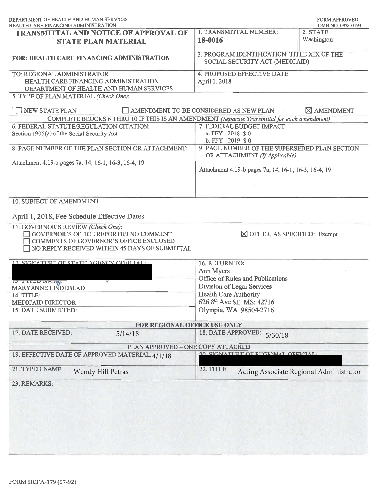| DEPARTMENT OF HEALTH AND HUMAN SERVICES<br><b>HEALTH CARE FINANCING ADMINISTRATION</b>                                                                                                                                | <b>FORM APPROVED</b><br>OMB NO. 0938-0193                                      |                                         |  |  |
|-----------------------------------------------------------------------------------------------------------------------------------------------------------------------------------------------------------------------|--------------------------------------------------------------------------------|-----------------------------------------|--|--|
| <b>TRANSMITTAL AND NOTICE OF APPROVAL OF</b><br><b>STATE PLAN MATERIAL</b>                                                                                                                                            | 1. TRANSMITTAL NUMBER:<br>18-0016                                              | 2. STATE<br>Washington                  |  |  |
| <b>FOR: HEALTH CARE FINANCING ADMINISTRATION</b>                                                                                                                                                                      | 3. PROGRAM IDENTIFICATION: TITLE XIX OF THE<br>SOCIAL SECURITY ACT (MEDICAID)  |                                         |  |  |
| TO: REGIONAL ADMINISTRATOR<br>HEALTH CARE FINANCING ADMINISTRATION<br>DEPARTMENT OF HEALTH AND HUMAN SERVICES                                                                                                         | 4. PROPOSED EFFECTIVE DATE<br>April 1, 2018                                    |                                         |  |  |
| 5. TYPE OF PLAN MATERIAL (Check One):                                                                                                                                                                                 |                                                                                |                                         |  |  |
| NEW STATE PLAN                                                                                                                                                                                                        | AMENDMENT TO BE CONSIDERED AS NEW PLAN                                         | $\boxtimes$ AMENDMENT                   |  |  |
| COMPLETE BLOCKS 6 THRU 10 IF THIS IS AN AMENDMENT (Separate Transmittal for each amendment)                                                                                                                           |                                                                                |                                         |  |  |
| 6. FEDERAL STATUTE/REGULATION CITATION:<br>Section 1905(a) of the Social Security Act                                                                                                                                 | 7. FEDERAL BUDGET IMPACT:<br>a. FFY 2018 \$0<br>b. FFY 2019 \$0                |                                         |  |  |
| 8. PAGE NUMBER OF THE PLAN SECTION OR ATTACHMENT:                                                                                                                                                                     | 9. PAGE NUMBER OF THE SUPERSEDED PLAN SECTION<br>OR ATTACHMENT (If Applicable) |                                         |  |  |
| Attachment 4.19-b pages 7a, 14, 16-1, 16-3, 16-4, 19                                                                                                                                                                  | Attachment 4.19-b pages 7a, 14, 16-1, 16-3, 16-4, 19                           |                                         |  |  |
| April 1, 2018, Fee Schedule Effective Dates<br>11. GOVERNOR'S REVIEW (Check One):<br>GOVERNOR'S OFFICE REPORTED NO COMMENT<br>COMMENTS OF GOVERNOR'S OFFICE ENCLOSED<br>NO REPLY RECEIVED WITHIN 45 DAYS OF SUBMITTAL | $\boxtimes$ OTHER, AS SPECIFIED: Exempt                                        |                                         |  |  |
| 12 SIGNATURE OF STATE AGENCY OFFICIAL.                                                                                                                                                                                | 16. RETURN TO:                                                                 |                                         |  |  |
|                                                                                                                                                                                                                       | Ann Myers                                                                      |                                         |  |  |
|                                                                                                                                                                                                                       | Office of Rules and Publications                                               |                                         |  |  |
| 13. I ITED IVANII.<br>MARYANNE LINDEBLAD                                                                                                                                                                              | Division of Legal Services                                                     |                                         |  |  |
| 14. TITLE:                                                                                                                                                                                                            | <b>Health Care Authority</b>                                                   |                                         |  |  |
| MEDICAID DIRECTOR                                                                                                                                                                                                     | 626 8 <sup>th</sup> Ave SE MS: 42716                                           |                                         |  |  |
| 15. DATE SUBMITTED:                                                                                                                                                                                                   | Olympia, WA 98504-2716                                                         |                                         |  |  |
| FOR REGIONAL OFFICE USE ONLY                                                                                                                                                                                          |                                                                                |                                         |  |  |
| 17. DATE RECEIVED:<br>5/14/18                                                                                                                                                                                         | 18. DATE APPROVED:<br>5/30/18                                                  |                                         |  |  |
| PLAN APPROVED - ONE COPY ATTACHED                                                                                                                                                                                     |                                                                                |                                         |  |  |
| 19. EFFECTIVE DATE OF APPROVED MATERIAL: 4/1/18                                                                                                                                                                       | 20 SIGNATURE OF REGIONAL OFFICIAL.                                             |                                         |  |  |
| 21. TYPED NAME:<br><b>Wendy Hill Petras</b>                                                                                                                                                                           | 22. TITLE:                                                                     | Acting Associate Regional Administrator |  |  |
| 23. REMARKS:                                                                                                                                                                                                          |                                                                                |                                         |  |  |
|                                                                                                                                                                                                                       |                                                                                |                                         |  |  |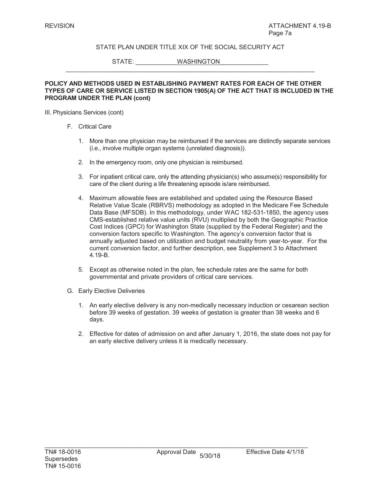STATE: WASHINGTON

#### **POLICY AND METHODS USED IN ESTABLISHING PAYMENT RATES FOR EACH OF THE OTHER TYPES OF CARE OR SERVICE LISTED IN SECTION 1905(A) OF THE ACT THAT IS INCLUDED IN THE PROGRAM UNDER THE PLAN (cont)**

 $\_$  , and the set of the set of the set of the set of the set of the set of the set of the set of the set of the set of the set of the set of the set of the set of the set of the set of the set of the set of the set of th

III. Physicians Services (cont)

- F. Critical Care
	- 1. More than one physician may be reimbursed if the services are distinctly separate services (i.e., involve multiple organ systems (unrelated diagnosis)).
	- 2. In the emergency room, only one physician is reimbursed.
	- 3. For inpatient critical care, only the attending physician(s) who assume(s) responsibility for care of the client during a life threatening episode is/are reimbursed.
	- 4. Maximum allowable fees are established and updated using the Resource Based Relative Value Scale (RBRVS) methodology as adopted in the Medicare Fee Schedule Data Base (MFSDB). In this methodology, under WAC 182-531-1850, the agency uses CMS-established relative value units (RVU) multiplied by both the Geographic Practice Cost Indices (GPCI) for Washington State (supplied by the Federal Register) and the conversion factors specific to Washington. The agency's conversion factor that is annually adjusted based on utilization and budget neutrality from year-to-year. For the current conversion factor, and further description, see Supplement 3 to Attachment 4.19-B.
	- 5. Except as otherwise noted in the plan, fee schedule rates are the same for both governmental and private providers of critical care services.
- G. Early Elective Deliveries
	- 1. An early elective delivery is any non-medically necessary induction or cesarean section before 39 weeks of gestation. 39 weeks of gestation is greater than 38 weeks and 6 days.
	- 2. Effective for dates of admission on and after January 1, 2016, the state does not pay for an early elective delivery unless it is medically necessary.

 $\mathcal{L}_\text{max} = \mathcal{L}_\text{max} = \mathcal{L}_\text{max} = \mathcal{L}_\text{max} = \mathcal{L}_\text{max} = \mathcal{L}_\text{max} = \mathcal{L}_\text{max} = \mathcal{L}_\text{max} = \mathcal{L}_\text{max} = \mathcal{L}_\text{max} = \mathcal{L}_\text{max} = \mathcal{L}_\text{max} = \mathcal{L}_\text{max} = \mathcal{L}_\text{max} = \mathcal{L}_\text{max} = \mathcal{L}_\text{max} = \mathcal{L}_\text{max} = \mathcal{L}_\text{max} = \mathcal{$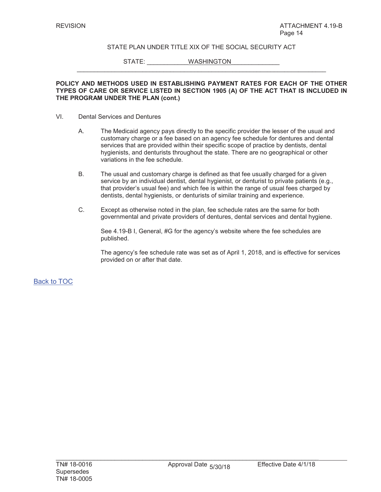$\_$  , and the set of the set of the set of the set of the set of the set of the set of the set of the set of the set of the set of the set of the set of the set of the set of the set of the set of the set of the set of th

STATE: WASHINGTON

#### **POLICY AND METHODS USED IN ESTABLISHING PAYMENT RATES FOR EACH OF THE OTHER TYPES OF CARE OR SERVICE LISTED IN SECTION 1905 (A) OF THE ACT THAT IS INCLUDED IN THE PROGRAM UNDER THE PLAN (cont.)**

- VI. Dental Services and Dentures
	- A. The Medicaid agency pays directly to the specific provider the lesser of the usual and customary charge or a fee based on an agency fee schedule for dentures and dental services that are provided within their specific scope of practice by dentists, dental hygienists, and denturists throughout the state. There are no geographical or other variations in the fee schedule.
	- B. The usual and customary charge is defined as that fee usually charged for a given service by an individual dentist, dental hygienist, or denturist to private patients (e.g., that provider's usual fee) and which fee is within the range of usual fees charged by dentists, dental hygienists, or denturists of similar training and experience.
	- C. Except as otherwise noted in the plan, fee schedule rates are the same for both governmental and private providers of dentures, dental services and dental hygiene.

See 4.19-B I, General, #G for the agency's website where the fee schedules are published.

The agency's fee schedule rate was set as of April 1, 2018, and is effective for services provided on or after that date.

Back to TOC

 $\mathcal{L}_\text{max} = \mathcal{L}_\text{max} = \mathcal{L}_\text{max} = \mathcal{L}_\text{max} = \mathcal{L}_\text{max} = \mathcal{L}_\text{max} = \mathcal{L}_\text{max} = \mathcal{L}_\text{max} = \mathcal{L}_\text{max} = \mathcal{L}_\text{max} = \mathcal{L}_\text{max} = \mathcal{L}_\text{max} = \mathcal{L}_\text{max} = \mathcal{L}_\text{max} = \mathcal{L}_\text{max} = \mathcal{L}_\text{max} = \mathcal{L}_\text{max} = \mathcal{L}_\text{max} = \mathcal{$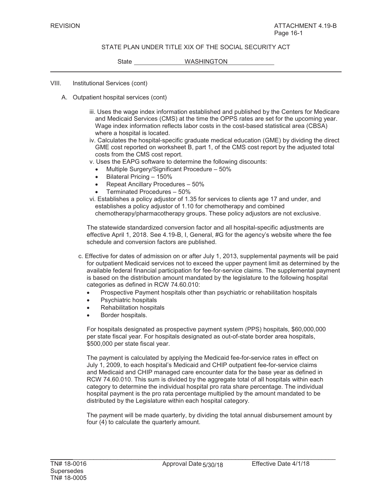State WASHINGTON

VIII. Institutional Services (cont)

- A. Outpatient hospital services (cont)
	- iii. Uses the wage index information established and published by the Centers for Medicare and Medicaid Services (CMS) at the time the OPPS rates are set for the upcoming year. Wage index information reflects labor costs in the cost-based statistical area (CBSA) where a hospital is located.
	- iv. Calculates the hospital-specific graduate medical education (GME) by dividing the direct GME cost reported on worksheet B, part 1, of the CMS cost report by the adjusted total costs from the CMS cost report.
	- v. Uses the EAPG software to determine the following discounts:
		- Multiple Surgery/Significant Procedure 50%
		- $\bullet$  Bilateral Pricing 150%
		- x Repeat Ancillary Procedures 50%
		- x Terminated Procedures 50%
	- vi. Establishes a policy adjustor of 1.35 for services to clients age 17 and under, and establishes a policy adjustor of 1.10 for chemotherapy and combined chemotherapy/pharmacotherapy groups. These policy adjustors are not exclusive.

The statewide standardized conversion factor and all hospital-specific adjustments are effective April 1, 2018. See 4.19-B, I, General, #G for the agency's website where the fee schedule and conversion factors are published.

- c. Effective for dates of admission on or after July 1, 2013, supplemental payments will be paid for outpatient Medicaid services not to exceed the upper payment limit as determined by the available federal financial participation for fee-for-service claims. The supplemental payment is based on the distribution amount mandated by the legislature to the following hospital categories as defined in RCW 74.60.010:
	- Prospective Payment hospitals other than psychiatric or rehabilitation hospitals
	- Psychiatric hospitals
	- **Rehabilitation hospitals**
	- Border hospitals.

For hospitals designated as prospective payment system (PPS) hospitals, \$60,000,000 per state fiscal year. For hospitals designated as out-of-state border area hospitals, \$500,000 per state fiscal year.

The payment is calculated by applying the Medicaid fee-for-service rates in effect on July 1, 2009, to each hospital's Medicaid and CHIP outpatient fee-for-service claims and Medicaid and CHIP managed care encounter data for the base year as defined in RCW 74.60.010. This sum is divided by the aggregate total of all hospitals within each category to determine the individual hospital pro rata share percentage. The individual hospital payment is the pro rata percentage multiplied by the amount mandated to be distributed by the Legislature within each hospital category.

The payment will be made quarterly, by dividing the total annual disbursement amount by four (4) to calculate the quarterly amount.

 $\mathcal{L}_\mathcal{L} = \{ \mathcal{L}_\mathcal{L} = \{ \mathcal{L}_\mathcal{L} = \{ \mathcal{L}_\mathcal{L} = \{ \mathcal{L}_\mathcal{L} = \{ \mathcal{L}_\mathcal{L} = \{ \mathcal{L}_\mathcal{L} = \{ \mathcal{L}_\mathcal{L} = \{ \mathcal{L}_\mathcal{L} = \{ \mathcal{L}_\mathcal{L} = \{ \mathcal{L}_\mathcal{L} = \{ \mathcal{L}_\mathcal{L} = \{ \mathcal{L}_\mathcal{L} = \{ \mathcal{L}_\mathcal{L} = \{ \mathcal{L}_\mathcal{$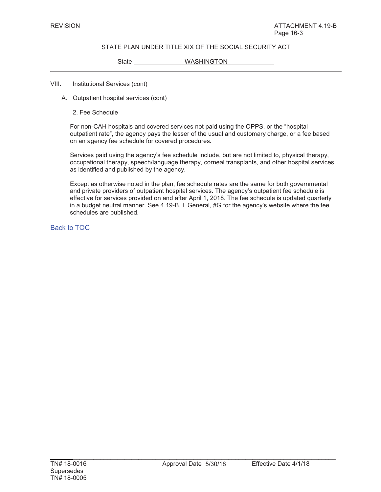State WASHINGTON

### VIII. Institutional Services (cont)

- A. Outpatient hospital services (cont)
	- 2. Fee Schedule

For non-CAH hospitals and covered services not paid using the OPPS, or the "hospital outpatient rate", the agency pays the lesser of the usual and customary charge, or a fee based on an agency fee schedule for covered procedures*.*

Services paid using the agency's fee schedule include, but are not limited to, physical therapy, occupational therapy, speech/language therapy, corneal transplants, and other hospital services as identified and published by the agency.

Except as otherwise noted in the plan, fee schedule rates are the same for both governmental and private providers of outpatient hospital services. The agency's outpatient fee schedule is effective for services provided on and after April 1, 2018. The fee schedule is updated quarterly in a budget neutral manner. See 4.19-B, I, General, #G for the agency's website where the fee schedules are published.

Back to TOC

 $\mathcal{L}_\mathcal{L} = \{ \mathcal{L}_\mathcal{L} = \{ \mathcal{L}_\mathcal{L} = \{ \mathcal{L}_\mathcal{L} = \{ \mathcal{L}_\mathcal{L} = \{ \mathcal{L}_\mathcal{L} = \{ \mathcal{L}_\mathcal{L} = \{ \mathcal{L}_\mathcal{L} = \{ \mathcal{L}_\mathcal{L} = \{ \mathcal{L}_\mathcal{L} = \{ \mathcal{L}_\mathcal{L} = \{ \mathcal{L}_\mathcal{L} = \{ \mathcal{L}_\mathcal{L} = \{ \mathcal{L}_\mathcal{L} = \{ \mathcal{L}_\mathcal{$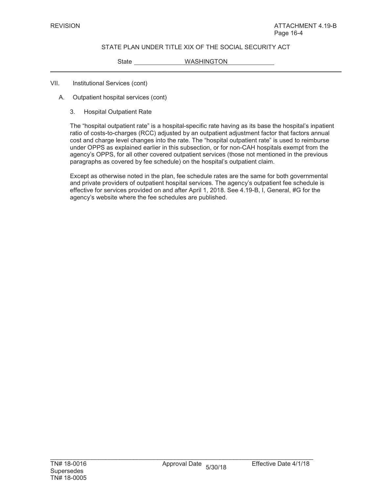State WASHINGTON

#### VII. Institutional Services (cont)

- A. Outpatient hospital services (cont)
	- 3. Hospital Outpatient Rate

The "hospital outpatient rate" is a hospital-specific rate having as its base the hospital's inpatient ratio of costs-to-charges (RCC) adjusted by an outpatient adjustment factor that factors annual cost and charge level changes into the rate. The "hospital outpatient rate" is used to reimburse under OPPS as explained earlier in this subsection, or for non-CAH hospitals exempt from the agency's OPPS, for all other covered outpatient services (those not mentioned in the previous paragraphs as covered by fee schedule) on the hospital's outpatient claim.

Except as otherwise noted in the plan, fee schedule rates are the same for both governmental and private providers of outpatient hospital services. The agency's outpatient fee schedule is effective for services provided on and after April 1, 2018. See 4.19-B, I, General, #G for the agency's website where the fee schedules are published.

 $\mathcal{L}_\text{max}$  , and the set of the set of the set of the set of the set of the set of the set of the set of the set of the set of the set of the set of the set of the set of the set of the set of the set of the set of the